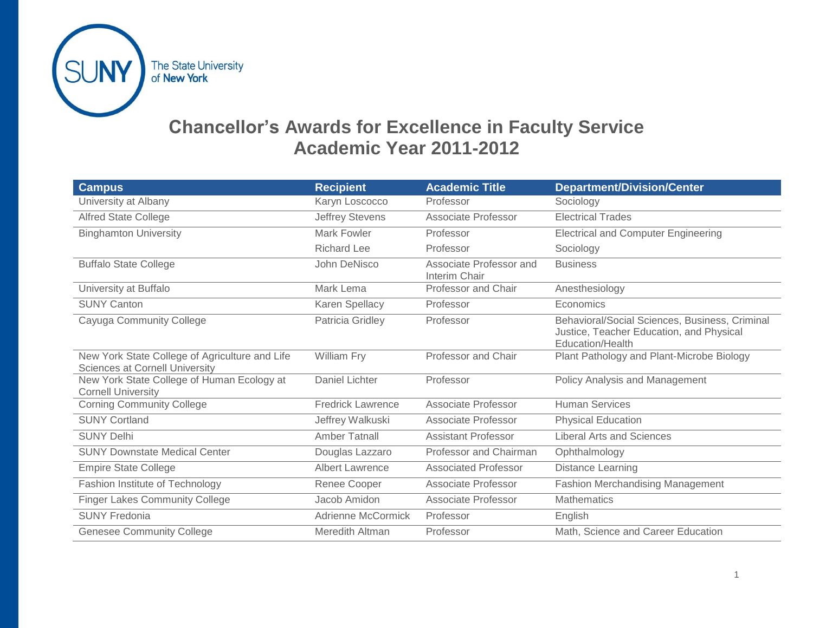

### **Chancellor's Awards for Excellence in Faculty Service Academic Year 2011-2012**

| <b>Campus</b>                                                                           | <b>Recipient</b>         | <b>Academic Title</b>                    | <b>Department/Division/Center</b>                                                                              |
|-----------------------------------------------------------------------------------------|--------------------------|------------------------------------------|----------------------------------------------------------------------------------------------------------------|
| University at Albany                                                                    | Karyn Loscocco           | Professor                                | Sociology                                                                                                      |
| <b>Alfred State College</b>                                                             | <b>Jeffrey Stevens</b>   | Associate Professor                      | <b>Electrical Trades</b>                                                                                       |
| <b>Binghamton University</b>                                                            | <b>Mark Fowler</b>       | Professor                                | <b>Electrical and Computer Engineering</b>                                                                     |
|                                                                                         | <b>Richard Lee</b>       | Professor                                | Sociology                                                                                                      |
| <b>Buffalo State College</b>                                                            | John DeNisco             | Associate Professor and<br>Interim Chair | <b>Business</b>                                                                                                |
| University at Buffalo                                                                   | Mark Lema                | Professor and Chair                      | Anesthesiology                                                                                                 |
| <b>SUNY Canton</b>                                                                      | Karen Spellacy           | Professor                                | Economics                                                                                                      |
| Cayuga Community College                                                                | Patricia Gridley         | Professor                                | Behavioral/Social Sciences, Business, Criminal<br>Justice, Teacher Education, and Physical<br>Education/Health |
| New York State College of Agriculture and Life<br><b>Sciences at Cornell University</b> | William Fry              | Professor and Chair                      | Plant Pathology and Plant-Microbe Biology                                                                      |
| New York State College of Human Ecology at<br><b>Cornell University</b>                 | Daniel Lichter           | Professor                                | Policy Analysis and Management                                                                                 |
| <b>Corning Community College</b>                                                        | <b>Fredrick Lawrence</b> | Associate Professor                      | <b>Human Services</b>                                                                                          |
| <b>SUNY Cortland</b>                                                                    | Jeffrey Walkuski         | Associate Professor                      | <b>Physical Education</b>                                                                                      |
| <b>SUNY Delhi</b>                                                                       | Amber Tatnall            | <b>Assistant Professor</b>               | <b>Liberal Arts and Sciences</b>                                                                               |
| <b>SUNY Downstate Medical Center</b>                                                    | Douglas Lazzaro          | Professor and Chairman                   | Ophthalmology                                                                                                  |
| <b>Empire State College</b>                                                             | <b>Albert Lawrence</b>   | <b>Associated Professor</b>              | Distance Learning                                                                                              |
| Fashion Institute of Technology                                                         | Renee Cooper             | Associate Professor                      | <b>Fashion Merchandising Management</b>                                                                        |
| <b>Finger Lakes Community College</b>                                                   | Jacob Amidon             | Associate Professor                      | <b>Mathematics</b>                                                                                             |
| <b>SUNY Fredonia</b>                                                                    | Adrienne McCormick       | Professor                                | English                                                                                                        |
| <b>Genesee Community College</b>                                                        | Meredith Altman          | Professor                                | Math, Science and Career Education                                                                             |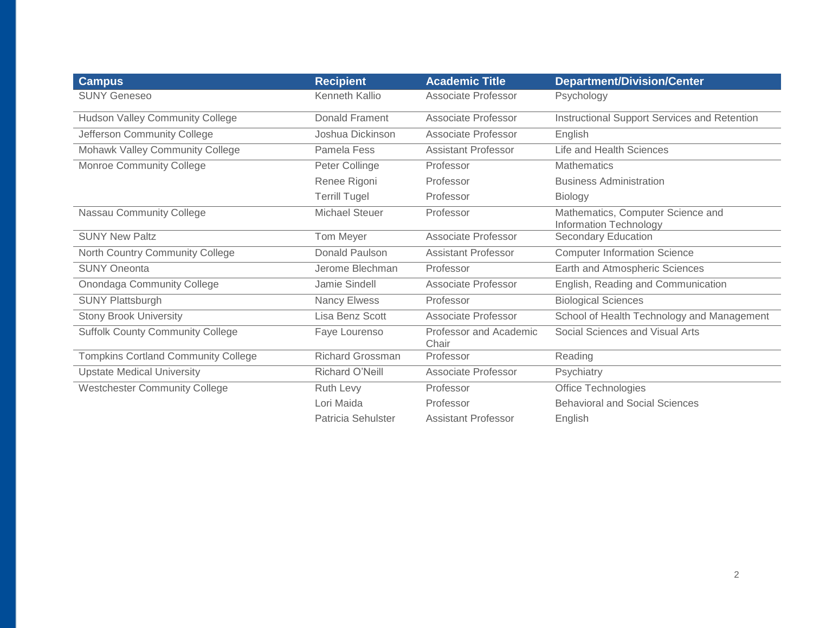| <b>Campus</b>                              | <b>Recipient</b>        | <b>Academic Title</b>           | <b>Department/Division/Center</b>                                  |
|--------------------------------------------|-------------------------|---------------------------------|--------------------------------------------------------------------|
| <b>SUNY Geneseo</b>                        | Kenneth Kallio          | Associate Professor             | Psychology                                                         |
| <b>Hudson Valley Community College</b>     | <b>Donald Frament</b>   | Associate Professor             | Instructional Support Services and Retention                       |
| Jefferson Community College                | Joshua Dickinson        | Associate Professor             | English                                                            |
| Mohawk Valley Community College            | Pamela Fess             | <b>Assistant Professor</b>      | <b>Life and Health Sciences</b>                                    |
| Monroe Community College                   | Peter Collinge          | Professor                       | <b>Mathematics</b>                                                 |
|                                            | Renee Rigoni            | Professor                       | <b>Business Administration</b>                                     |
|                                            | <b>Terrill Tugel</b>    | Professor                       | <b>Biology</b>                                                     |
| Nassau Community College                   | Michael Steuer          | Professor                       | Mathematics, Computer Science and<br><b>Information Technology</b> |
| <b>SUNY New Paltz</b>                      | Tom Meyer               | Associate Professor             | Secondary Education                                                |
| North Country Community College            | Donald Paulson          | <b>Assistant Professor</b>      | <b>Computer Information Science</b>                                |
| <b>SUNY Oneonta</b>                        | Jerome Blechman         | Professor                       | Earth and Atmospheric Sciences                                     |
| Onondaga Community College                 | Jamie Sindell           | Associate Professor             | English, Reading and Communication                                 |
| <b>SUNY Plattsburgh</b>                    | Nancy Elwess            | Professor                       | <b>Biological Sciences</b>                                         |
| <b>Stony Brook University</b>              | Lisa Benz Scott         | Associate Professor             | School of Health Technology and Management                         |
| <b>Suffolk County Community College</b>    | Faye Lourenso           | Professor and Academic<br>Chair | Social Sciences and Visual Arts                                    |
| <b>Tompkins Cortland Community College</b> | <b>Richard Grossman</b> | Professor                       | Reading                                                            |
| <b>Upstate Medical University</b>          | Richard O'Neill         | Associate Professor             | Psychiatry                                                         |
| <b>Westchester Community College</b>       | Ruth Levy               | Professor                       | Office Technologies                                                |
|                                            | Lori Maida              | Professor                       | <b>Behavioral and Social Sciences</b>                              |
|                                            | Patricia Sehulster      | <b>Assistant Professor</b>      | English                                                            |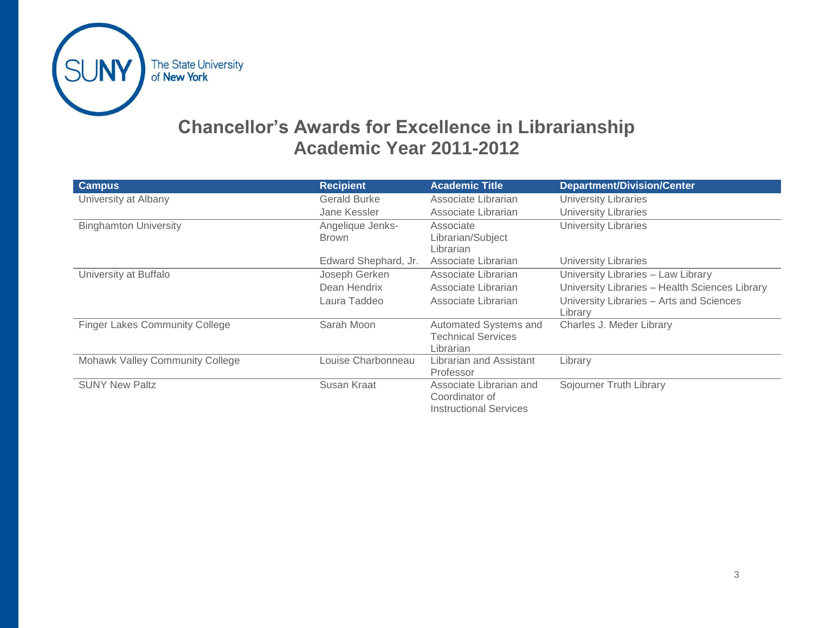

## **Chancellor's Awards for Excellence in Librarianship Academic Year 2011-2012**

| <b>Campus</b>                         | <b>Recipient</b>     | <b>Academic Title</b>         | <b>Department/Division/Center</b>              |
|---------------------------------------|----------------------|-------------------------------|------------------------------------------------|
| University at Albany                  | <b>Gerald Burke</b>  | Associate Librarian           | <b>University Libraries</b>                    |
|                                       | Jane Kessler         | Associate Librarian           | <b>University Libraries</b>                    |
| <b>Binghamton University</b>          | Angelique Jenks-     | Associate                     | <b>University Libraries</b>                    |
|                                       | <b>Brown</b>         | Librarian/Subject             |                                                |
|                                       |                      | Librarian                     |                                                |
|                                       | Edward Shephard, Jr. | Associate Librarian           | <b>University Libraries</b>                    |
| University at Buffalo                 | Joseph Gerken        | Associate Librarian           | University Libraries - Law Library             |
|                                       | Dean Hendrix         | Associate Librarian           | University Libraries - Health Sciences Library |
|                                       | Laura Taddeo         | Associate Librarian           | University Libraries - Arts and Sciences       |
|                                       |                      |                               | Library                                        |
| <b>Finger Lakes Community College</b> | Sarah Moon           | Automated Systems and         | Charles J. Meder Library                       |
|                                       |                      | <b>Technical Services</b>     |                                                |
|                                       |                      | Librarian                     |                                                |
| Mohawk Valley Community College       | Louise Charbonneau   | Librarian and Assistant       | Library                                        |
|                                       |                      | Professor                     |                                                |
| <b>SUNY New Paltz</b>                 | Susan Kraat          | Associate Librarian and       | Sojourner Truth Library                        |
|                                       |                      | Coordinator of                |                                                |
|                                       |                      | <b>Instructional Services</b> |                                                |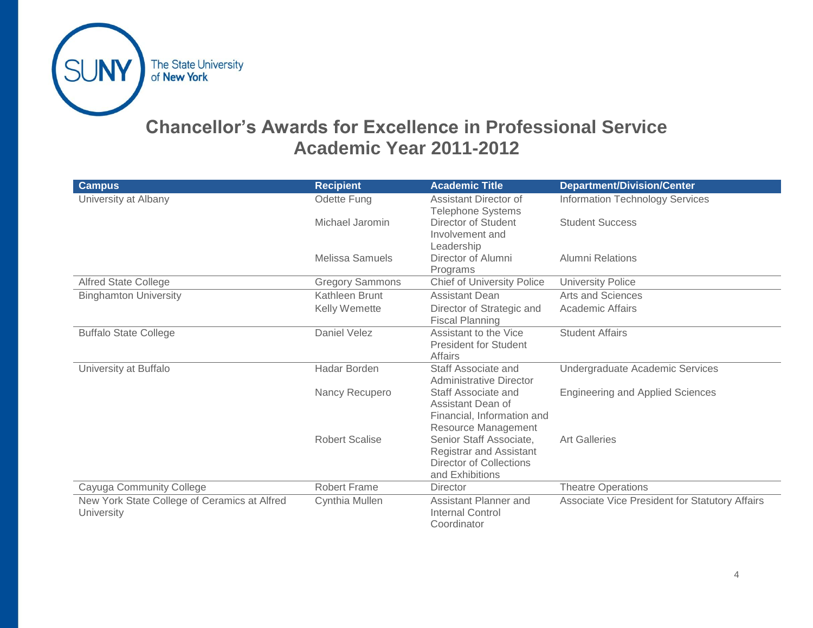

# **Chancellor's Awards for Excellence in Professional Service Academic Year 2011-2012**

| <b>Campus</b>                                | <b>Recipient</b>       | <b>Academic Title</b>                          | <b>Department/Division/Center</b>              |
|----------------------------------------------|------------------------|------------------------------------------------|------------------------------------------------|
| University at Albany                         | Odette Fung            | <b>Assistant Director of</b>                   | <b>Information Technology Services</b>         |
|                                              |                        | <b>Telephone Systems</b>                       |                                                |
|                                              | Michael Jaromin        | Director of Student                            | <b>Student Success</b>                         |
|                                              |                        | Involvement and                                |                                                |
|                                              |                        | Leadership                                     |                                                |
|                                              | Melissa Samuels        | Director of Alumni                             | <b>Alumni Relations</b>                        |
|                                              |                        | Programs<br><b>Chief of University Police</b>  |                                                |
| <b>Alfred State College</b>                  | <b>Gregory Sammons</b> |                                                | <b>University Police</b>                       |
| <b>Binghamton University</b>                 | Kathleen Brunt         | <b>Assistant Dean</b>                          | Arts and Sciences                              |
|                                              | Kelly Wemette          | Director of Strategic and                      | <b>Academic Affairs</b>                        |
|                                              |                        | <b>Fiscal Planning</b>                         |                                                |
| <b>Buffalo State College</b>                 | Daniel Velez           | Assistant to the Vice                          | <b>Student Affairs</b>                         |
|                                              |                        | <b>President for Student</b>                   |                                                |
|                                              |                        | <b>Affairs</b>                                 |                                                |
| University at Buffalo                        | <b>Hadar Borden</b>    | Staff Associate and<br>Administrative Director | Undergraduate Academic Services                |
|                                              | Nancy Recupero         | Staff Associate and                            | <b>Engineering and Applied Sciences</b>        |
|                                              |                        | Assistant Dean of                              |                                                |
|                                              |                        | Financial, Information and                     |                                                |
|                                              |                        | Resource Management                            |                                                |
|                                              | <b>Robert Scalise</b>  | Senior Staff Associate,                        | <b>Art Galleries</b>                           |
|                                              |                        | <b>Registrar and Assistant</b>                 |                                                |
|                                              |                        | <b>Director of Collections</b>                 |                                                |
|                                              |                        | and Exhibitions                                |                                                |
| Cayuga Community College                     | <b>Robert Frame</b>    | Director                                       | <b>Theatre Operations</b>                      |
| New York State College of Ceramics at Alfred | Cynthia Mullen         | Assistant Planner and                          | Associate Vice President for Statutory Affairs |
| <b>University</b>                            |                        | <b>Internal Control</b>                        |                                                |
|                                              |                        | Coordinator                                    |                                                |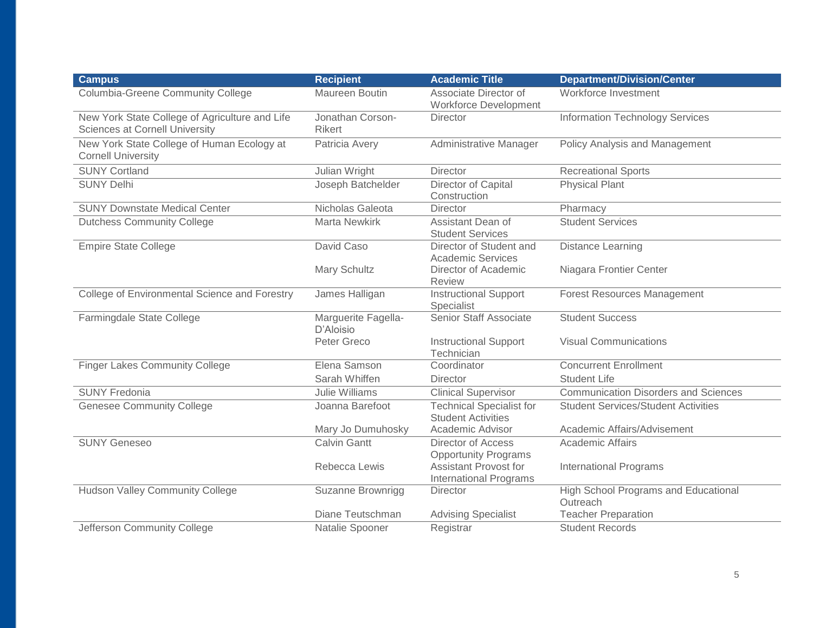| <b>Campus</b>                                                                    | <b>Recipient</b>                  | <b>Academic Title</b>                                         | <b>Department/Division/Center</b>                       |
|----------------------------------------------------------------------------------|-----------------------------------|---------------------------------------------------------------|---------------------------------------------------------|
| <b>Columbia-Greene Community College</b>                                         | Maureen Boutin                    | Associate Director of<br><b>Workforce Development</b>         | Workforce Investment                                    |
| New York State College of Agriculture and Life<br>Sciences at Cornell University | Jonathan Corson-<br><b>Rikert</b> | <b>Director</b>                                               | <b>Information Technology Services</b>                  |
| New York State College of Human Ecology at<br><b>Cornell University</b>          | Patricia Avery                    | Administrative Manager                                        | Policy Analysis and Management                          |
| <b>SUNY Cortland</b>                                                             | Julian Wright                     | <b>Director</b>                                               | <b>Recreational Sports</b>                              |
| <b>SUNY Delhi</b>                                                                | Joseph Batchelder                 | Director of Capital<br>Construction                           | <b>Physical Plant</b>                                   |
| <b>SUNY Downstate Medical Center</b>                                             | Nicholas Galeota                  | Director                                                      | Pharmacy                                                |
| <b>Dutchess Community College</b>                                                | <b>Marta Newkirk</b>              | Assistant Dean of<br><b>Student Services</b>                  | <b>Student Services</b>                                 |
| <b>Empire State College</b>                                                      | David Caso                        | Director of Student and<br><b>Academic Services</b>           | <b>Distance Learning</b>                                |
|                                                                                  | Mary Schultz                      | Director of Academic<br><b>Review</b>                         | Niagara Frontier Center                                 |
| College of Environmental Science and Forestry                                    | James Halligan                    | <b>Instructional Support</b><br>Specialist                    | <b>Forest Resources Management</b>                      |
| Farmingdale State College                                                        | Marguerite Fagella-<br>D'Aloisio  | Senior Staff Associate                                        | <b>Student Success</b>                                  |
|                                                                                  | Peter Greco                       | <b>Instructional Support</b><br>Technician                    | <b>Visual Communications</b>                            |
| <b>Finger Lakes Community College</b>                                            | Elena Samson                      | Coordinator                                                   | <b>Concurrent Enrollment</b>                            |
|                                                                                  | Sarah Whiffen                     | <b>Director</b>                                               | <b>Student Life</b>                                     |
| <b>SUNY Fredonia</b>                                                             | Julie Williams                    | <b>Clinical Supervisor</b>                                    | <b>Communication Disorders and Sciences</b>             |
| <b>Genesee Community College</b>                                                 | Joanna Barefoot                   | <b>Technical Specialist for</b><br><b>Student Activities</b>  | <b>Student Services/Student Activities</b>              |
|                                                                                  | Mary Jo Dumuhosky                 | Academic Advisor                                              | Academic Affairs/Advisement                             |
| <b>SUNY Geneseo</b>                                                              | <b>Calvin Gantt</b>               | Director of Access<br><b>Opportunity Programs</b>             | <b>Academic Affairs</b>                                 |
|                                                                                  | Rebecca Lewis                     | <b>Assistant Provost for</b><br><b>International Programs</b> | <b>International Programs</b>                           |
| <b>Hudson Valley Community College</b>                                           | Suzanne Brownrigg                 | Director                                                      | <b>High School Programs and Educational</b><br>Outreach |
|                                                                                  | Diane Teutschman                  | <b>Advising Specialist</b>                                    | <b>Teacher Preparation</b>                              |
| Jefferson Community College                                                      | Natalie Spooner                   | Registrar                                                     | <b>Student Records</b>                                  |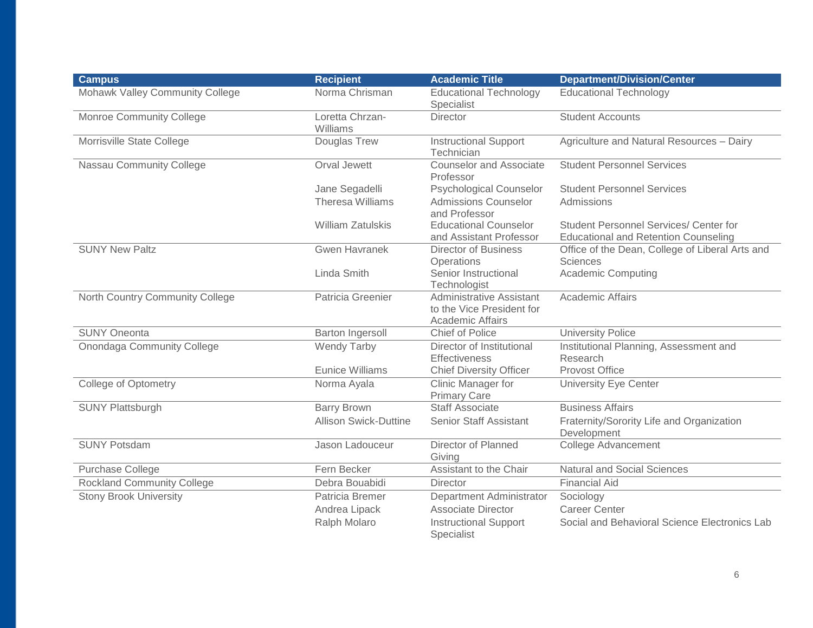| <b>Campus</b>                     | <b>Recipient</b>             | <b>Academic Title</b>                                                            | <b>Department/Division/Center</b>                                                     |
|-----------------------------------|------------------------------|----------------------------------------------------------------------------------|---------------------------------------------------------------------------------------|
| Mohawk Valley Community College   | Norma Chrisman               | <b>Educational Technology</b><br>Specialist                                      | <b>Educational Technology</b>                                                         |
| Monroe Community College          | Loretta Chrzan-<br>Williams  | <b>Director</b>                                                                  | <b>Student Accounts</b>                                                               |
| Morrisville State College         | Douglas Trew                 | <b>Instructional Support</b><br>Technician                                       | Agriculture and Natural Resources - Dairy                                             |
| Nassau Community College          | Orval Jewett                 | <b>Counselor and Associate</b><br>Professor                                      | <b>Student Personnel Services</b>                                                     |
|                                   | Jane Segadelli               | <b>Psychological Counselor</b>                                                   | <b>Student Personnel Services</b>                                                     |
|                                   | <b>Theresa Williams</b>      | <b>Admissions Counselor</b><br>and Professor                                     | Admissions                                                                            |
|                                   | <b>William Zatulskis</b>     | <b>Educational Counselor</b><br>and Assistant Professor                          | Student Personnel Services/ Center for<br><b>Educational and Retention Counseling</b> |
| <b>SUNY New Paltz</b>             | <b>Gwen Havranek</b>         | <b>Director of Business</b><br>Operations                                        | Office of the Dean, College of Liberal Arts and<br><b>Sciences</b>                    |
|                                   | Linda Smith                  | Senior Instructional<br>Technologist                                             | Academic Computing                                                                    |
| North Country Community College   | Patricia Greenier            | Administrative Assistant<br>to the Vice President for<br><b>Academic Affairs</b> | <b>Academic Affairs</b>                                                               |
| <b>SUNY Oneonta</b>               | <b>Barton Ingersoll</b>      | Chief of Police                                                                  | <b>University Police</b>                                                              |
| <b>Onondaga Community College</b> | <b>Wendy Tarby</b>           | Director of Institutional<br><b>Effectiveness</b>                                | Institutional Planning, Assessment and<br>Research                                    |
|                                   | <b>Eunice Williams</b>       | <b>Chief Diversity Officer</b>                                                   | <b>Provost Office</b>                                                                 |
| <b>College of Optometry</b>       | Norma Ayala                  | Clinic Manager for<br><b>Primary Care</b>                                        | <b>University Eye Center</b>                                                          |
| <b>SUNY Plattsburgh</b>           | <b>Barry Brown</b>           | <b>Staff Associate</b>                                                           | <b>Business Affairs</b>                                                               |
|                                   | <b>Allison Swick-Duttine</b> | <b>Senior Staff Assistant</b>                                                    | Fraternity/Sorority Life and Organization<br>Development                              |
| <b>SUNY Potsdam</b>               | Jason Ladouceur              | Director of Planned<br>Giving                                                    | <b>College Advancement</b>                                                            |
| Purchase College                  | Fern Becker                  | Assistant to the Chair                                                           | <b>Natural and Social Sciences</b>                                                    |
| <b>Rockland Community College</b> | Debra Bouabidi               | <b>Director</b>                                                                  | <b>Financial Aid</b>                                                                  |
| <b>Stony Brook University</b>     | Patricia Bremer              | Department Administrator                                                         | Sociology                                                                             |
|                                   | Andrea Lipack                | <b>Associate Director</b>                                                        | <b>Career Center</b>                                                                  |
|                                   | Ralph Molaro                 | <b>Instructional Support</b><br>Specialist                                       | Social and Behavioral Science Electronics Lab                                         |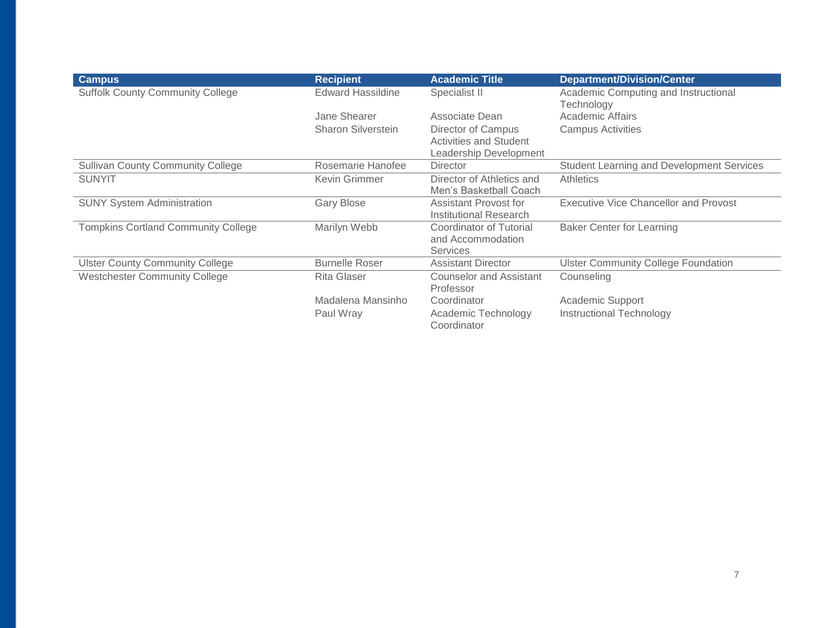| <b>Campus</b>                              | <b>Recipient</b>         | <b>Academic Title</b>                                           | <b>Department/Division/Center</b>                  |
|--------------------------------------------|--------------------------|-----------------------------------------------------------------|----------------------------------------------------|
| <b>Suffolk County Community College</b>    | <b>Edward Hassildine</b> | Specialist II                                                   | Academic Computing and Instructional<br>Technology |
|                                            | Jane Shearer             | Associate Dean                                                  | Academic Affairs                                   |
|                                            | Sharon Silverstein       | Director of Campus                                              | <b>Campus Activities</b>                           |
|                                            |                          | <b>Activities and Student</b><br>Leadership Development         |                                                    |
| <b>Sullivan County Community College</b>   | Rosemarie Hanofee        | <b>Director</b>                                                 | <b>Student Learning and Development Services</b>   |
| <b>SUNYIT</b>                              | Kevin Grimmer            | Director of Athletics and<br>Men's Basketball Coach             | <b>Athletics</b>                                   |
| <b>SUNY System Administration</b>          | <b>Gary Blose</b>        | Assistant Provost for<br>Institutional Research                 | <b>Executive Vice Chancellor and Provost</b>       |
| <b>Tompkins Cortland Community College</b> | Marilyn Webb             | Coordinator of Tutorial<br>and Accommodation<br><b>Services</b> | <b>Baker Center for Learning</b>                   |
| <b>Ulster County Community College</b>     | <b>Burnelle Roser</b>    | <b>Assistant Director</b>                                       | <b>Ulster Community College Foundation</b>         |
| <b>Westchester Community College</b>       | <b>Rita Glaser</b>       | <b>Counselor and Assistant</b><br>Professor                     | Counseling                                         |
|                                            | Madalena Mansinho        | Coordinator                                                     | Academic Support                                   |
|                                            | Paul Wray                | Academic Technology<br>Coordinator                              | Instructional Technology                           |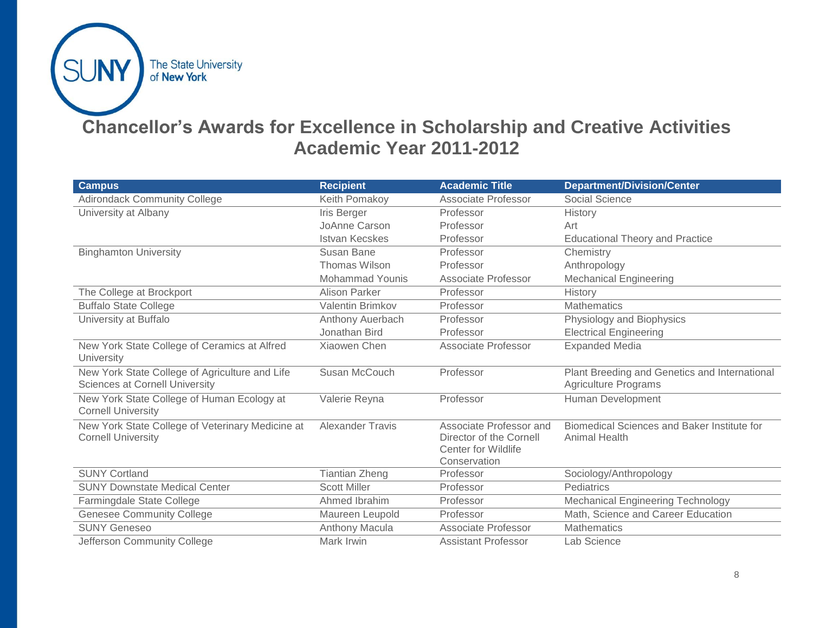

# **Chancellor's Awards for Excellence in Scholarship and Creative Activities Academic Year 2011-2012**

| <b>Campus</b>                                                                           | <b>Recipient</b>        | <b>Academic Title</b>                                                                            | <b>Department/Division/Center</b>                                            |
|-----------------------------------------------------------------------------------------|-------------------------|--------------------------------------------------------------------------------------------------|------------------------------------------------------------------------------|
| <b>Adirondack Community College</b>                                                     | Keith Pomakoy           | Associate Professor                                                                              | Social Science                                                               |
| University at Albany                                                                    | Iris Berger             | Professor                                                                                        | History                                                                      |
|                                                                                         | JoAnne Carson           | Professor                                                                                        | Art                                                                          |
|                                                                                         | <b>Istvan Kecskes</b>   | Professor                                                                                        | <b>Educational Theory and Practice</b>                                       |
| <b>Binghamton University</b>                                                            | Susan Bane              | Professor                                                                                        | Chemistry                                                                    |
|                                                                                         | Thomas Wilson           | Professor                                                                                        | Anthropology                                                                 |
|                                                                                         | <b>Mohammad Younis</b>  | Associate Professor                                                                              | <b>Mechanical Engineering</b>                                                |
| The College at Brockport                                                                | Alison Parker           | Professor                                                                                        | History                                                                      |
| <b>Buffalo State College</b>                                                            | <b>Valentin Brimkov</b> | Professor                                                                                        | <b>Mathematics</b>                                                           |
| University at Buffalo                                                                   | Anthony Auerbach        | Professor                                                                                        | Physiology and Biophysics                                                    |
|                                                                                         | Jonathan Bird           | Professor                                                                                        | <b>Electrical Engineering</b>                                                |
| New York State College of Ceramics at Alfred<br>University                              | <b>Xiaowen Chen</b>     | Associate Professor                                                                              | <b>Expanded Media</b>                                                        |
| New York State College of Agriculture and Life<br><b>Sciences at Cornell University</b> | Susan McCouch           | Professor                                                                                        | Plant Breeding and Genetics and International<br><b>Agriculture Programs</b> |
| New York State College of Human Ecology at<br><b>Cornell University</b>                 | Valerie Reyna           | Professor                                                                                        | Human Development                                                            |
| New York State College of Veterinary Medicine at<br><b>Cornell University</b>           | <b>Alexander Travis</b> | Associate Professor and<br>Director of the Cornell<br><b>Center for Wildlife</b><br>Conservation | Biomedical Sciences and Baker Institute for<br><b>Animal Health</b>          |
| <b>SUNY Cortland</b>                                                                    | <b>Tiantian Zheng</b>   | Professor                                                                                        | Sociology/Anthropology                                                       |
| <b>SUNY Downstate Medical Center</b>                                                    | <b>Scott Miller</b>     | Professor                                                                                        | Pediatrics                                                                   |
| Farmingdale State College                                                               | Ahmed Ibrahim           | Professor                                                                                        | <b>Mechanical Engineering Technology</b>                                     |
| <b>Genesee Community College</b>                                                        | Maureen Leupold         | Professor                                                                                        | Math, Science and Career Education                                           |
| <b>SUNY Geneseo</b>                                                                     | Anthony Macula          | <b>Associate Professor</b>                                                                       | <b>Mathematics</b>                                                           |
| Jefferson Community College                                                             | Mark Irwin              | <b>Assistant Professor</b>                                                                       | Lab Science                                                                  |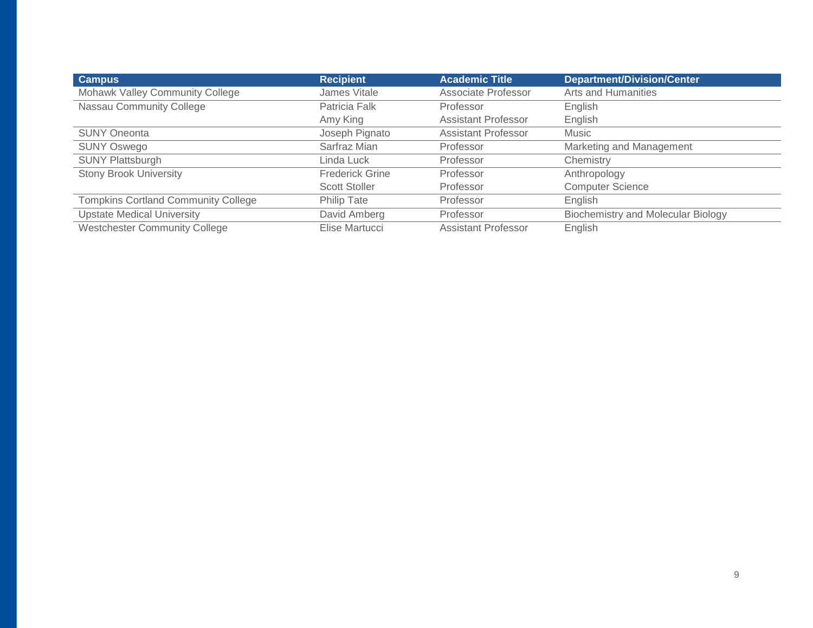| <b>Campus</b>                              | <b>Recipient</b>       | <b>Academic Title</b>      | <b>Department/Division/Center</b>         |
|--------------------------------------------|------------------------|----------------------------|-------------------------------------------|
| Mohawk Valley Community College            | James Vitale           | Associate Professor        | Arts and Humanities                       |
| Nassau Community College                   | Patricia Falk          | Professor                  | English                                   |
|                                            | Amy King               | <b>Assistant Professor</b> | English                                   |
| <b>SUNY Oneonta</b>                        | Joseph Pignato         | <b>Assistant Professor</b> | Music                                     |
| <b>SUNY Oswego</b>                         | Sarfraz Mian           | Professor                  | Marketing and Management                  |
| <b>SUNY Plattsburgh</b>                    | Linda Luck             | Professor                  | Chemistry                                 |
| <b>Stony Brook University</b>              | <b>Frederick Grine</b> | Professor                  | Anthropology                              |
|                                            | <b>Scott Stoller</b>   | Professor                  | <b>Computer Science</b>                   |
| <b>Tompkins Cortland Community College</b> | Philip Tate            | Professor                  | English                                   |
| <b>Upstate Medical University</b>          | David Amberg           | Professor                  | <b>Biochemistry and Molecular Biology</b> |
| <b>Westchester Community College</b>       | Elise Martucci         | Assistant Professor        | English                                   |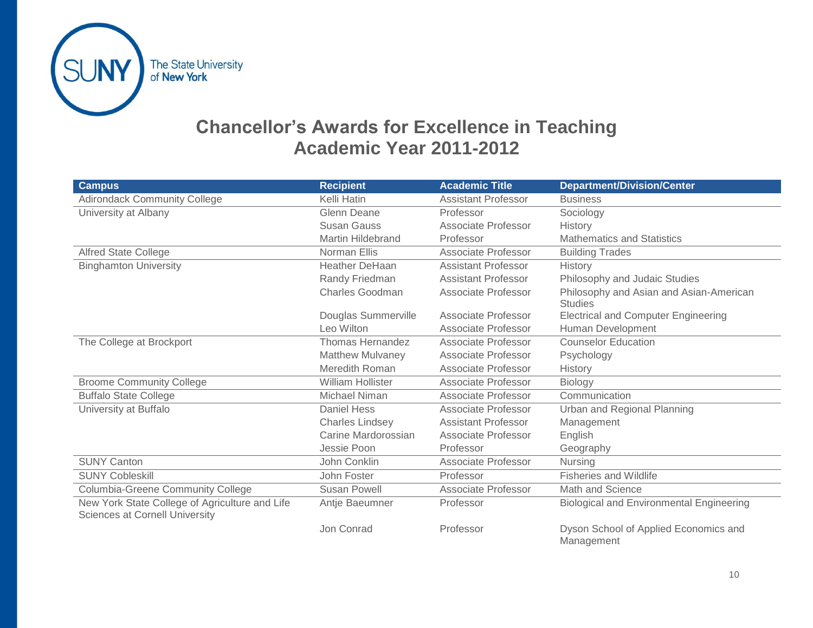

## **Chancellor's Awards for Excellence in Teaching Academic Year 2011-2012**

| <b>Campus</b>                                                                           | <b>Recipient</b>         | <b>Academic Title</b>      | <b>Department/Division/Center</b>                         |
|-----------------------------------------------------------------------------------------|--------------------------|----------------------------|-----------------------------------------------------------|
| <b>Adirondack Community College</b>                                                     | Kelli Hatin              | <b>Assistant Professor</b> | <b>Business</b>                                           |
| University at Albany                                                                    | <b>Glenn Deane</b>       | Professor                  | Sociology                                                 |
|                                                                                         | <b>Susan Gauss</b>       | <b>Associate Professor</b> | <b>History</b>                                            |
|                                                                                         | <b>Martin Hildebrand</b> | Professor                  | <b>Mathematics and Statistics</b>                         |
| <b>Alfred State College</b>                                                             | Norman Ellis             | <b>Associate Professor</b> | <b>Building Trades</b>                                    |
| <b>Binghamton University</b>                                                            | <b>Heather DeHaan</b>    | <b>Assistant Professor</b> | History                                                   |
|                                                                                         | Randy Friedman           | <b>Assistant Professor</b> | Philosophy and Judaic Studies                             |
|                                                                                         | <b>Charles Goodman</b>   | Associate Professor        | Philosophy and Asian and Asian-American<br><b>Studies</b> |
|                                                                                         | Douglas Summerville      | Associate Professor        | <b>Electrical and Computer Engineering</b>                |
|                                                                                         | Leo Wilton               | <b>Associate Professor</b> | Human Development                                         |
| The College at Brockport                                                                | <b>Thomas Hernandez</b>  | Associate Professor        | <b>Counselor Education</b>                                |
|                                                                                         | <b>Matthew Mulvaney</b>  | Associate Professor        | Psychology                                                |
|                                                                                         | Meredith Roman           | Associate Professor        | History                                                   |
| <b>Broome Community College</b>                                                         | <b>William Hollister</b> | <b>Associate Professor</b> | Biology                                                   |
| <b>Buffalo State College</b>                                                            | Michael Niman            | <b>Associate Professor</b> | Communication                                             |
| University at Buffalo                                                                   | <b>Daniel Hess</b>       | <b>Associate Professor</b> | Urban and Regional Planning                               |
|                                                                                         | <b>Charles Lindsey</b>   | <b>Assistant Professor</b> | Management                                                |
|                                                                                         | Carine Mardorossian      | Associate Professor        | English                                                   |
|                                                                                         | Jessie Poon              | Professor                  | Geography                                                 |
| <b>SUNY Canton</b>                                                                      | John Conklin             | Associate Professor        | Nursing                                                   |
| <b>SUNY Cobleskill</b>                                                                  | John Foster              | Professor                  | <b>Fisheries and Wildlife</b>                             |
| <b>Columbia-Greene Community College</b>                                                | <b>Susan Powell</b>      | <b>Associate Professor</b> | Math and Science                                          |
| New York State College of Agriculture and Life<br><b>Sciences at Cornell University</b> | Antje Baeumner           | Professor                  | <b>Biological and Environmental Engineering</b>           |
|                                                                                         | Jon Conrad               | Professor                  | Dyson School of Applied Economics and<br>Management       |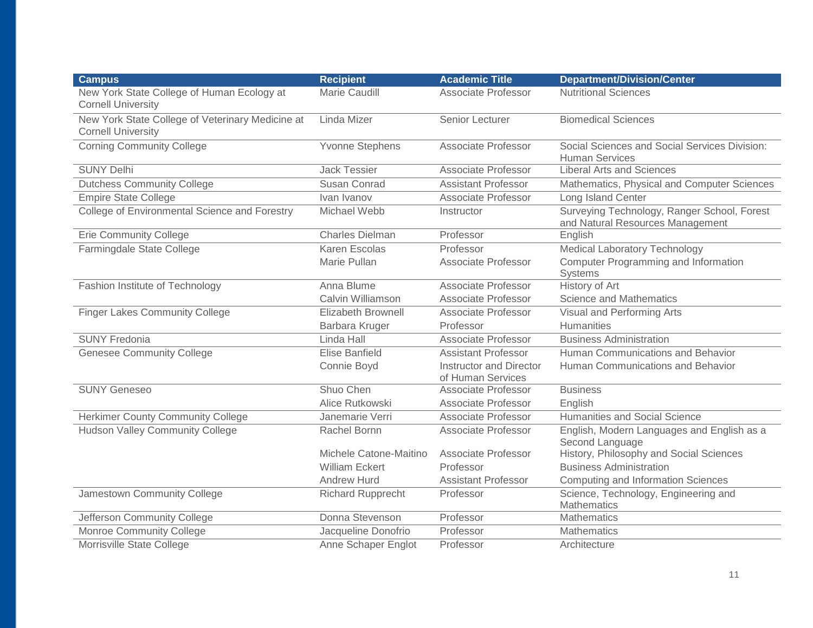| <b>Campus</b>                                                                 | <b>Recipient</b>          | <b>Academic Title</b>                               | <b>Department/Division/Center</b>                                               |
|-------------------------------------------------------------------------------|---------------------------|-----------------------------------------------------|---------------------------------------------------------------------------------|
| New York State College of Human Ecology at<br><b>Cornell University</b>       | Marie Caudill             | <b>Associate Professor</b>                          | <b>Nutritional Sciences</b>                                                     |
| New York State College of Veterinary Medicine at<br><b>Cornell University</b> | Linda Mizer               | Senior Lecturer                                     | <b>Biomedical Sciences</b>                                                      |
| <b>Corning Community College</b>                                              | <b>Yvonne Stephens</b>    | Associate Professor                                 | Social Sciences and Social Services Division:<br><b>Human Services</b>          |
| <b>SUNY Delhi</b>                                                             | <b>Jack Tessier</b>       | Associate Professor                                 | <b>Liberal Arts and Sciences</b>                                                |
| <b>Dutchess Community College</b>                                             | Susan Conrad              | <b>Assistant Professor</b>                          | Mathematics, Physical and Computer Sciences                                     |
| <b>Empire State College</b>                                                   | Ivan Ivanov               | Associate Professor                                 | Long Island Center                                                              |
| College of Environmental Science and Forestry                                 | Michael Webb              | Instructor                                          | Surveying Technology, Ranger School, Forest<br>and Natural Resources Management |
| <b>Erie Community College</b>                                                 | <b>Charles Dielman</b>    | Professor                                           | English                                                                         |
| Farmingdale State College                                                     | Karen Escolas             | Professor                                           | <b>Medical Laboratory Technology</b>                                            |
|                                                                               | Marie Pullan              | <b>Associate Professor</b>                          | Computer Programming and Information<br>Systems                                 |
| Fashion Institute of Technology                                               | Anna Blume                | Associate Professor                                 | History of Art                                                                  |
|                                                                               | Calvin Williamson         | Associate Professor                                 | Science and Mathematics                                                         |
| <b>Finger Lakes Community College</b>                                         | <b>Elizabeth Brownell</b> | Associate Professor                                 | Visual and Performing Arts                                                      |
|                                                                               | Barbara Kruger            | Professor                                           | <b>Humanities</b>                                                               |
| <b>SUNY Fredonia</b>                                                          | Linda Hall                | Associate Professor                                 | <b>Business Administration</b>                                                  |
| <b>Genesee Community College</b>                                              | <b>Elise Banfield</b>     | <b>Assistant Professor</b>                          | Human Communications and Behavior                                               |
|                                                                               | Connie Boyd               | <b>Instructor and Director</b><br>of Human Services | Human Communications and Behavior                                               |
| <b>SUNY Geneseo</b>                                                           | Shuo Chen                 | Associate Professor                                 | <b>Business</b>                                                                 |
|                                                                               | Alice Rutkowski           | Associate Professor                                 | English                                                                         |
| <b>Herkimer County Community College</b>                                      | Janemarie Verri           | Associate Professor                                 | Humanities and Social Science                                                   |
| <b>Hudson Valley Community College</b>                                        | Rachel Bornn              | <b>Associate Professor</b>                          | English, Modern Languages and English as a<br>Second Language                   |
|                                                                               | Michele Catone-Maitino    | Associate Professor                                 | History, Philosophy and Social Sciences                                         |
|                                                                               | <b>William Eckert</b>     | Professor                                           | <b>Business Administration</b>                                                  |
|                                                                               | <b>Andrew Hurd</b>        | <b>Assistant Professor</b>                          | <b>Computing and Information Sciences</b>                                       |
| Jamestown Community College                                                   | <b>Richard Rupprecht</b>  | Professor                                           | Science, Technology, Engineering and<br><b>Mathematics</b>                      |
| Jefferson Community College                                                   | Donna Stevenson           | Professor                                           | <b>Mathematics</b>                                                              |
| Monroe Community College                                                      | Jacqueline Donofrio       | Professor                                           | <b>Mathematics</b>                                                              |
| Morrisville State College                                                     | Anne Schaper Englot       | Professor                                           | Architecture                                                                    |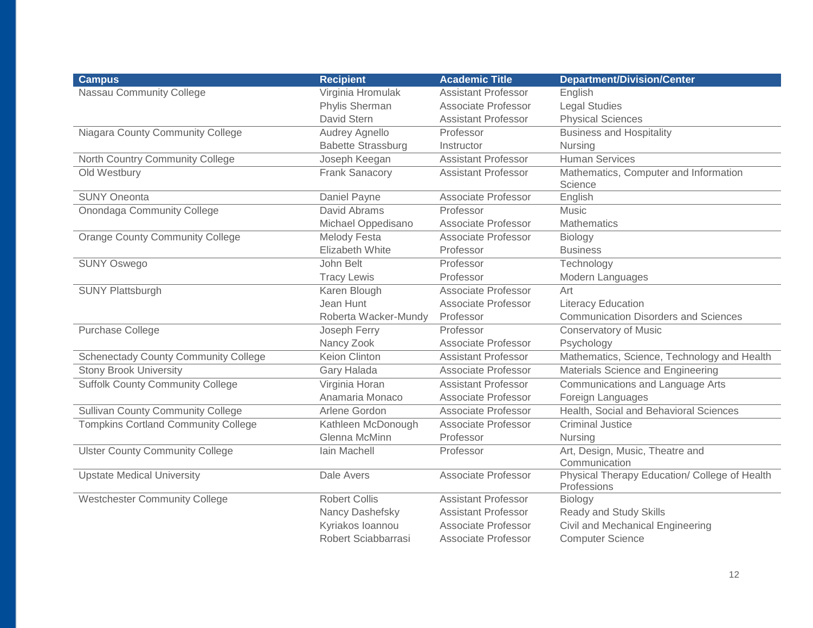| <b>Campus</b>                               | <b>Recipient</b>          | <b>Academic Title</b>      | <b>Department/Division/Center</b>                            |
|---------------------------------------------|---------------------------|----------------------------|--------------------------------------------------------------|
| Nassau Community College                    | Virginia Hromulak         | <b>Assistant Professor</b> | English                                                      |
|                                             | Phylis Sherman            | <b>Associate Professor</b> | <b>Legal Studies</b>                                         |
|                                             | David Stern               | <b>Assistant Professor</b> | <b>Physical Sciences</b>                                     |
| Niagara County Community College            | <b>Audrey Agnello</b>     | Professor                  | <b>Business and Hospitality</b>                              |
|                                             | <b>Babette Strassburg</b> | Instructor                 | Nursing                                                      |
| North Country Community College             | Joseph Keegan             | <b>Assistant Professor</b> | <b>Human Services</b>                                        |
| Old Westbury                                | <b>Frank Sanacory</b>     | <b>Assistant Professor</b> | Mathematics, Computer and Information<br>Science             |
| <b>SUNY Oneonta</b>                         | Daniel Payne              | Associate Professor        | English                                                      |
| Onondaga Community College                  | David Abrams              | Professor                  | Music                                                        |
|                                             | Michael Oppedisano        | Associate Professor        | <b>Mathematics</b>                                           |
| <b>Orange County Community College</b>      | <b>Melody Festa</b>       | Associate Professor        | Biology                                                      |
|                                             | <b>Elizabeth White</b>    | Professor                  | <b>Business</b>                                              |
| <b>SUNY Oswego</b>                          | John Belt                 | Professor                  | Technology                                                   |
|                                             | <b>Tracy Lewis</b>        | Professor                  | Modern Languages                                             |
| <b>SUNY Plattsburgh</b>                     | Karen Blough              | Associate Professor        | Art                                                          |
|                                             | Jean Hunt                 | Associate Professor        | <b>Literacy Education</b>                                    |
|                                             | Roberta Wacker-Mundy      | Professor                  | <b>Communication Disorders and Sciences</b>                  |
| Purchase College                            | Joseph Ferry              | Professor                  | <b>Conservatory of Music</b>                                 |
|                                             | Nancy Zook                | <b>Associate Professor</b> | Psychology                                                   |
| <b>Schenectady County Community College</b> | <b>Keion Clinton</b>      | <b>Assistant Professor</b> | Mathematics, Science, Technology and Health                  |
| <b>Stony Brook University</b>               | Gary Halada               | <b>Associate Professor</b> | Materials Science and Engineering                            |
| <b>Suffolk County Community College</b>     | Virginia Horan            | <b>Assistant Professor</b> | Communications and Language Arts                             |
|                                             | Anamaria Monaco           | Associate Professor        | Foreign Languages                                            |
| <b>Sullivan County Community College</b>    | Arlene Gordon             | Associate Professor        | Health, Social and Behavioral Sciences                       |
| <b>Tompkins Cortland Community College</b>  | Kathleen McDonough        | Associate Professor        | <b>Criminal Justice</b>                                      |
|                                             | <b>Glenna McMinn</b>      | Professor                  | <b>Nursing</b>                                               |
| <b>Ulster County Community College</b>      | lain Machell              | Professor                  | Art, Design, Music, Theatre and<br>Communication             |
| <b>Upstate Medical University</b>           | Dale Avers                | Associate Professor        | Physical Therapy Education/ College of Health<br>Professions |
| <b>Westchester Community College</b>        | <b>Robert Collis</b>      | <b>Assistant Professor</b> | Biology                                                      |
|                                             | Nancy Dashefsky           | <b>Assistant Professor</b> | Ready and Study Skills                                       |
|                                             | Kyriakos Ioannou          | Associate Professor        | Civil and Mechanical Engineering                             |
|                                             | Robert Sciabbarrasi       | Associate Professor        | <b>Computer Science</b>                                      |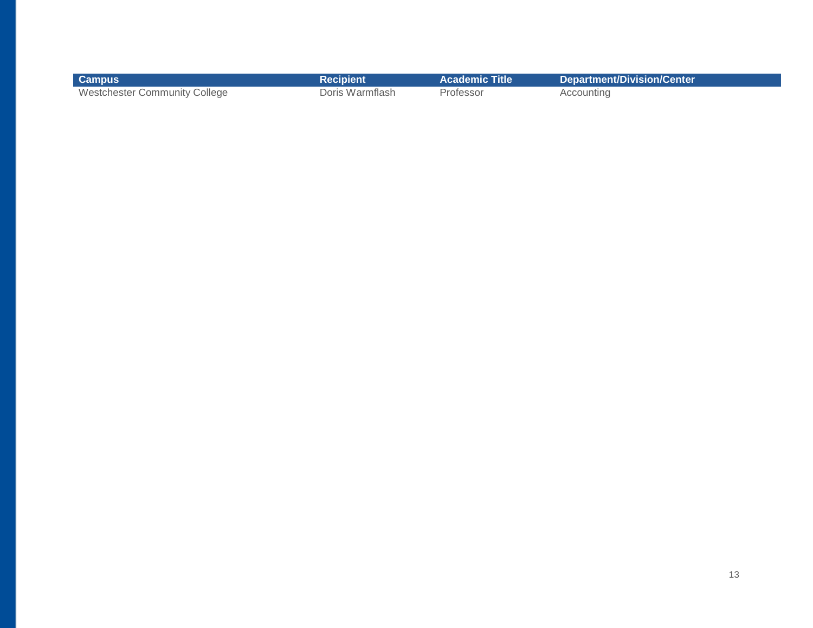| <b>Campus</b>                        | Recipient       | <b>Academic Title</b> | <b>Department/Division/Center</b> |
|--------------------------------------|-----------------|-----------------------|-----------------------------------|
| <b>Westchester Community College</b> | Doris Warmflash | Professor             | Accounting                        |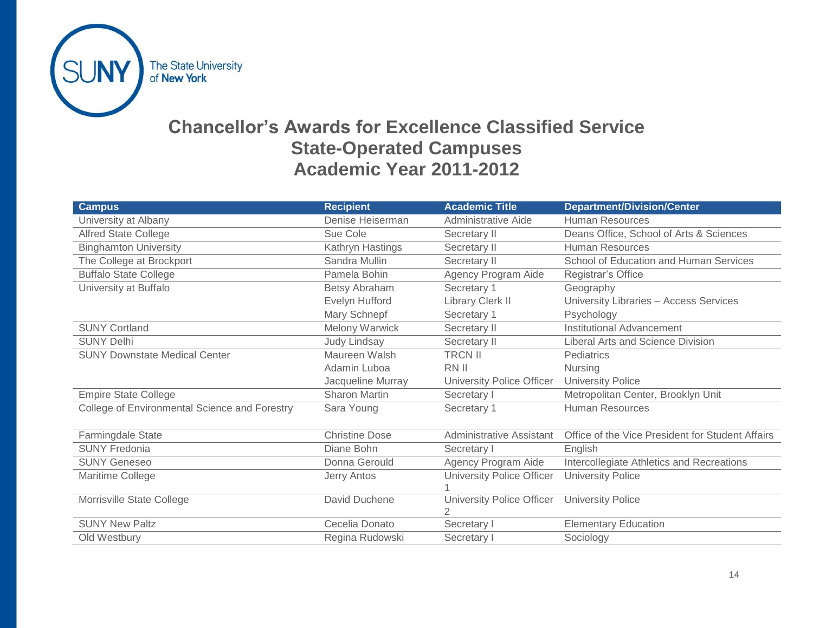

### **Chancellor's Awards for Excellence Classified Service State-Operated Campuses Academic Year 2011-2012**

| <b>Campus</b>                                 | <b>Recipient</b>      | <b>Academic Title</b>            | <b>Department/Division/Center</b>                |
|-----------------------------------------------|-----------------------|----------------------------------|--------------------------------------------------|
| University at Albany                          | Denise Heiserman      | <b>Administrative Aide</b>       | <b>Human Resources</b>                           |
| <b>Alfred State College</b>                   | Sue Cole              | Secretary II                     | Deans Office, School of Arts & Sciences          |
| <b>Binghamton University</b>                  | Kathryn Hastings      | Secretary II                     | <b>Human Resources</b>                           |
| The College at Brockport                      | Sandra Mullin         | Secretary II                     | School of Education and Human Services           |
| <b>Buffalo State College</b>                  | Pamela Bohin          | Agency Program Aide              | Registrar's Office                               |
| University at Buffalo                         | <b>Betsy Abraham</b>  | Secretary 1                      | Geography                                        |
|                                               | Evelyn Hufford        | Library Clerk II                 | University Libraries - Access Services           |
|                                               | Mary Schnepf          | Secretary 1                      | Psychology                                       |
| <b>SUNY Cortland</b>                          | Melony Warwick        | Secretary II                     | <b>Institutional Advancement</b>                 |
| <b>SUNY Delhi</b>                             | <b>Judy Lindsay</b>   | Secretary II                     | Liberal Arts and Science Division                |
| <b>SUNY Downstate Medical Center</b>          | Maureen Walsh         | <b>TRCN II</b>                   | Pediatrics                                       |
|                                               | Adamin Luboa          | RN II                            | <b>Nursing</b>                                   |
|                                               | Jacqueline Murray     | University Police Officer        | <b>University Police</b>                         |
| <b>Empire State College</b>                   | Sharon Martin         | Secretary I                      | Metropolitan Center, Brooklyn Unit               |
| College of Environmental Science and Forestry | Sara Young            | Secretary 1                      | <b>Human Resources</b>                           |
|                                               |                       |                                  |                                                  |
| Farmingdale State                             | <b>Christine Dose</b> | <b>Administrative Assistant</b>  | Office of the Vice President for Student Affairs |
| <b>SUNY Fredonia</b>                          | Diane Bohn            | Secretary I                      | English                                          |
| <b>SUNY Geneseo</b>                           | Donna Gerould         | Agency Program Aide              | Intercollegiate Athletics and Recreations        |
| Maritime College                              | Jerry Antos           | <b>University Police Officer</b> | <b>University Police</b>                         |
|                                               |                       |                                  |                                                  |
| Morrisville State College                     | David Duchene         | University Police Officer        | <b>University Police</b>                         |
|                                               |                       | 2                                |                                                  |
| <b>SUNY New Paltz</b>                         | Cecelia Donato        | Secretary I                      | <b>Elementary Education</b>                      |
| Old Westbury                                  | Regina Rudowski       | Secretary I                      | Sociology                                        |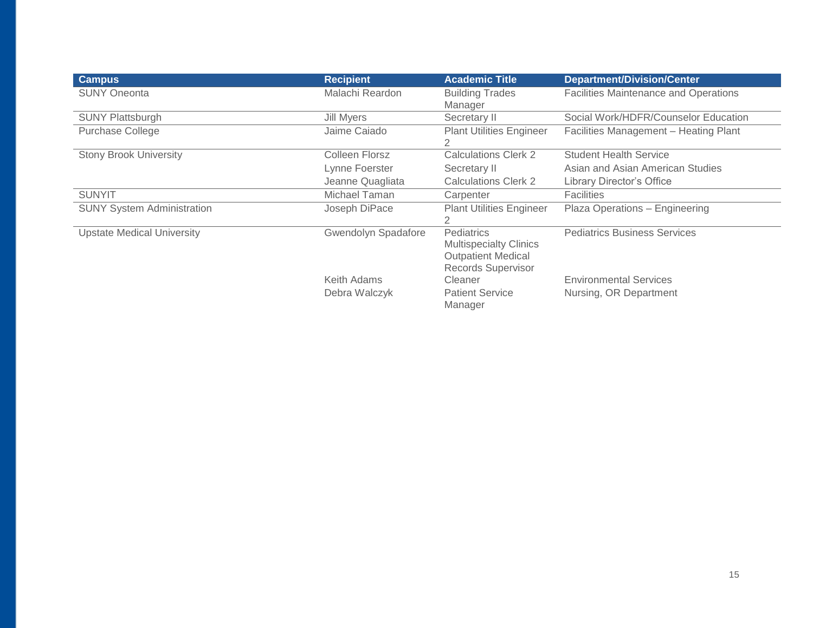| <b>Campus</b>                     | <b>Recipient</b>           | <b>Academic Title</b>                                                                          | <b>Department/Division/Center</b>            |
|-----------------------------------|----------------------------|------------------------------------------------------------------------------------------------|----------------------------------------------|
| <b>SUNY Oneonta</b>               | Malachi Reardon            | <b>Building Trades</b><br>Manager                                                              | <b>Facilities Maintenance and Operations</b> |
| <b>SUNY Plattsburgh</b>           | Jill Myers                 | Secretary II                                                                                   | Social Work/HDFR/Counselor Education         |
| <b>Purchase College</b>           | Jaime Caiado               | <b>Plant Utilities Engineer</b><br>2                                                           | Facilities Management - Heating Plant        |
| <b>Stony Brook University</b>     | Colleen Florsz             | <b>Calculations Clerk 2</b>                                                                    | <b>Student Health Service</b>                |
|                                   | Lynne Foerster             | Secretary II                                                                                   | Asian and Asian American Studies             |
|                                   | Jeanne Quagliata           | <b>Calculations Clerk 2</b>                                                                    | Library Director's Office                    |
| <b>SUNYIT</b>                     | Michael Taman              | Carpenter                                                                                      | <b>Facilities</b>                            |
| <b>SUNY System Administration</b> | Joseph DiPace              | <b>Plant Utilities Engineer</b><br>2                                                           | Plaza Operations - Engineering               |
| <b>Upstate Medical University</b> | <b>Gwendolyn Spadafore</b> | Pediatrics<br><b>Multispecialty Clinics</b><br><b>Outpatient Medical</b><br>Records Supervisor | <b>Pediatrics Business Services</b>          |
|                                   | Keith Adams                | Cleaner                                                                                        | <b>Environmental Services</b>                |
|                                   | Debra Walczyk              | <b>Patient Service</b><br>Manager                                                              | Nursing, OR Department                       |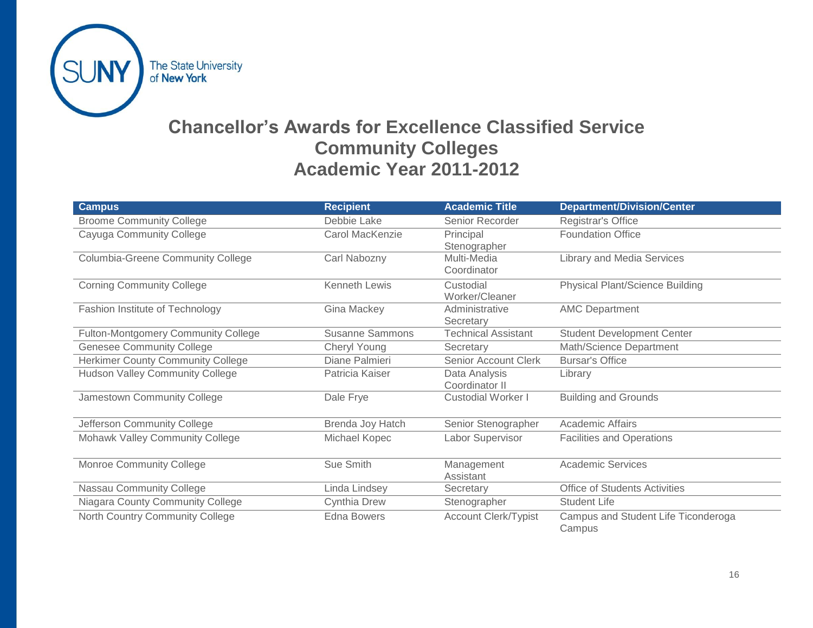

## **Chancellor's Awards for Excellence Classified Service Community Colleges Academic Year 2011-2012**

| <b>Campus</b>                            | <b>Recipient</b>       | <b>Academic Title</b>       | <b>Department/Division/Center</b>      |
|------------------------------------------|------------------------|-----------------------------|----------------------------------------|
| <b>Broome Community College</b>          | Debbie Lake            | Senior Recorder             | Registrar's Office                     |
| Cayuga Community College                 | Carol MacKenzie        | Principal                   | <b>Foundation Office</b>               |
|                                          |                        | Stenographer                |                                        |
| <b>Columbia-Greene Community College</b> | Carl Nabozny           | Multi-Media                 | <b>Library and Media Services</b>      |
|                                          |                        | Coordinator                 |                                        |
| <b>Corning Community College</b>         | <b>Kenneth Lewis</b>   | Custodial                   | <b>Physical Plant/Science Building</b> |
|                                          |                        | Worker/Cleaner              |                                        |
| Fashion Institute of Technology          | Gina Mackey            | Administrative              | <b>AMC Department</b>                  |
|                                          |                        | Secretary                   |                                        |
| Fulton-Montgomery Community College      | <b>Susanne Sammons</b> | <b>Technical Assistant</b>  | <b>Student Development Center</b>      |
| <b>Genesee Community College</b>         | Cheryl Young           | Secretary                   | Math/Science Department                |
| <b>Herkimer County Community College</b> | Diane Palmieri         | Senior Account Clerk        | <b>Bursar's Office</b>                 |
| <b>Hudson Valley Community College</b>   | Patricia Kaiser        | Data Analysis               | Library                                |
|                                          |                        | Coordinator II              |                                        |
| Jamestown Community College              | Dale Frye              | <b>Custodial Worker I</b>   | <b>Building and Grounds</b>            |
|                                          |                        |                             |                                        |
| Jefferson Community College              | Brenda Joy Hatch       | Senior Stenographer         | <b>Academic Affairs</b>                |
| Mohawk Valley Community College          | Michael Kopec          | Labor Supervisor            | <b>Facilities and Operations</b>       |
|                                          |                        |                             |                                        |
| <b>Monroe Community College</b>          | Sue Smith              | Management                  | <b>Academic Services</b>               |
|                                          |                        | Assistant                   |                                        |
| Nassau Community College                 | Linda Lindsey          | Secretary                   | <b>Office of Students Activities</b>   |
| Niagara County Community College         | Cynthia Drew           | Stenographer                | <b>Student Life</b>                    |
| North Country Community College          | <b>Edna Bowers</b>     | <b>Account Clerk/Typist</b> | Campus and Student Life Ticonderoga    |
|                                          |                        |                             | Campus                                 |